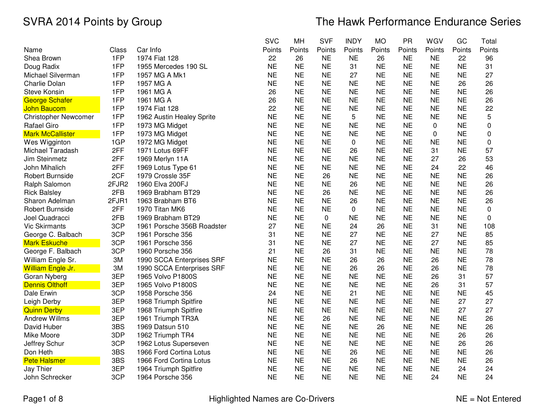|                             |       |                            | <b>SVC</b> | MH        | <b>SVF</b> | <b>INDY</b> | <b>MO</b> | <b>PR</b> | WGV         | GC        | Total       |
|-----------------------------|-------|----------------------------|------------|-----------|------------|-------------|-----------|-----------|-------------|-----------|-------------|
| Name                        | Class | Car Info                   | Points     | Points    | Points     | Points      | Points    | Points    | Points      | Points    | Points      |
| Shea Brown                  | 1FP   | 1974 Fiat 128              | 22         | 26        | <b>NE</b>  | <b>NE</b>   | 26        | <b>NE</b> | <b>NE</b>   | 22        | 96          |
| Doug Radix                  | 1FP   | 1955 Mercedes 190 SL       | <b>NE</b>  | <b>NE</b> | <b>NE</b>  | 31          | <b>NE</b> | <b>NE</b> | <b>NE</b>   | <b>NE</b> | 31          |
| Michael Silverman           | 1FP   | 1957 MG A Mk1              | <b>NE</b>  | <b>NE</b> | <b>NE</b>  | 27          | <b>NE</b> | <b>NE</b> | <b>NE</b>   | <b>NE</b> | 27          |
| Charlie Dolan               | 1FP   | 1957 MG A                  | <b>NE</b>  | <b>NE</b> | <b>NE</b>  | <b>NE</b>   | <b>NE</b> | <b>NE</b> | <b>NE</b>   | 26        | 26          |
| <b>Steve Konsin</b>         | 1FP   | 1961 MG A                  | 26         | <b>NE</b> | <b>NE</b>  | <b>NE</b>   | <b>NE</b> | <b>NE</b> | <b>NE</b>   | <b>NE</b> | 26          |
| <b>George Schafer</b>       | 1FP   | 1961 MG A                  | 26         | <b>NE</b> | <b>NE</b>  | <b>NE</b>   | <b>NE</b> | <b>NE</b> | <b>NE</b>   | <b>NE</b> | 26          |
| <b>John Baucom</b>          | 1FP   | 1974 Fiat 128              | 22         | <b>NE</b> | <b>NE</b>  | <b>NE</b>   | <b>NE</b> | <b>NE</b> | <b>NE</b>   | <b>NE</b> | 22          |
| <b>Christopher Newcomer</b> | 1FP   | 1962 Austin Healey Sprite  | <b>NE</b>  | <b>NE</b> | <b>NE</b>  | 5           | <b>NE</b> | <b>NE</b> | <b>NE</b>   | <b>NE</b> | 5           |
| Rafael Giro                 | 1FP   | 1973 MG Midget             | <b>NE</b>  | <b>NE</b> | <b>NE</b>  | <b>NE</b>   | <b>NE</b> | <b>NE</b> | 0           | <b>NE</b> | $\mathbf 0$ |
| <b>Mark McCallister</b>     | 1FP   | 1973 MG Midget             | <b>NE</b>  | <b>NE</b> | <b>NE</b>  | <b>NE</b>   | <b>NE</b> | <b>NE</b> | $\mathbf 0$ | <b>NE</b> | 0           |
| Wes Wigginton               | 1GP   | 1972 MG Midget             | <b>NE</b>  | <b>NE</b> | <b>NE</b>  | 0           | <b>NE</b> | <b>NE</b> | <b>NE</b>   | <b>NE</b> | 0           |
| Michael Taradash            | 2FF   | 1971 Lotus 69FF            | <b>NE</b>  | <b>NE</b> | <b>NE</b>  | 26          | <b>NE</b> | <b>NE</b> | 31          | <b>NE</b> | 57          |
| Jim Steinmetz               | 2FF   | 1969 Merlyn 11A            | <b>NE</b>  | <b>NE</b> | <b>NE</b>  | <b>NE</b>   | <b>NE</b> | <b>NE</b> | 27          | 26        | 53          |
| John Mihalich               | 2FF   | 1969 Lotus Type 61         | <b>NE</b>  | <b>NE</b> | <b>NE</b>  | <b>NE</b>   | <b>NE</b> | <b>NE</b> | 24          | 22        | 46          |
| Robert Burnside             | 2CF   | 1979 Crossle 35F           | <b>NE</b>  | <b>NE</b> | 26         | <b>NE</b>   | <b>NE</b> | <b>NE</b> | <b>NE</b>   | <b>NE</b> | 26          |
| Ralph Salomon               | 2FJR2 | 1960 Elva 200FJ            | <b>NE</b>  | <b>NE</b> | <b>NE</b>  | 26          | <b>NE</b> | <b>NE</b> | <b>NE</b>   | <b>NE</b> | 26          |
| <b>Rick Balsley</b>         | 2FB   | 1969 Brabham BT29          | <b>NE</b>  | <b>NE</b> | 26         | <b>NE</b>   | <b>NE</b> | <b>NE</b> | <b>NE</b>   | <b>NE</b> | 26          |
| Sharon Adelman              | 2FJR1 | 1963 Brabham BT6           | <b>NE</b>  | <b>NE</b> | <b>NE</b>  | 26          | <b>NE</b> | <b>NE</b> | <b>NE</b>   | <b>NE</b> | 26          |
| Robert Burnside             | 2FF   | 1970 Titan MK6             | <b>NE</b>  | <b>NE</b> | <b>NE</b>  | 0           | <b>NE</b> | <b>NE</b> | <b>NE</b>   | <b>NE</b> | 0           |
| Joel Quadracci              | 2FB   | 1969 Brabham BT29          | <b>NE</b>  | <b>NE</b> | 0          | <b>NE</b>   | <b>NE</b> | <b>NE</b> | <b>NE</b>   | <b>NE</b> | 0           |
| <b>Vic Skirmants</b>        | 3CP   | 1961 Porsche 356B Roadster | 27         | <b>NE</b> | <b>NE</b>  | 24          | 26        | <b>NE</b> | 31          | <b>NE</b> | 108         |
| George C. Balbach           | 3CP   | 1961 Porsche 356           | 31         | <b>NE</b> | <b>NE</b>  | 27          | <b>NE</b> | <b>NE</b> | 27          | <b>NE</b> | 85          |
| <b>Mark Eskuche</b>         | 3CP   | 1961 Porsche 356           | 31         | <b>NE</b> | <b>NE</b>  | 27          | <b>NE</b> | <b>NE</b> | 27          | <b>NE</b> | 85          |
| George F. Balbach           | 3CP   | 1960 Porsche 356           | 21         | <b>NE</b> | 26         | 31          | <b>NE</b> | <b>NE</b> | <b>NE</b>   | <b>NE</b> | 78          |
| William Engle Sr.           | 3M    | 1990 SCCA Enterprises SRF  | <b>NE</b>  | <b>NE</b> | <b>NE</b>  | 26          | 26        | <b>NE</b> | 26          | <b>NE</b> | 78          |
| William Engle Jr.           | 3M    | 1990 SCCA Enterprises SRF  | <b>NE</b>  | <b>NE</b> | <b>NE</b>  | 26          | 26        | <b>NE</b> | 26          | <b>NE</b> | 78          |
| Goran Nyberg                | 3EP   | 1965 Volvo P1800S          | <b>NE</b>  | <b>NE</b> | <b>NE</b>  | <b>NE</b>   | <b>NE</b> | <b>NE</b> | 26          | 31        | 57          |
| <b>Dennis Olthoff</b>       | 3EP   | 1965 Volvo P1800S          | <b>NE</b>  | <b>NE</b> | <b>NE</b>  | <b>NE</b>   | <b>NE</b> | <b>NE</b> | 26          | 31        | 57          |
| Dale Erwin                  | 3CP   | 1958 Porsche 356           | 24         | <b>NE</b> | <b>NE</b>  | 21          | <b>NE</b> | <b>NE</b> | <b>NE</b>   | <b>NE</b> | 45          |
| Leigh Derby                 | 3EP   | 1968 Triumph Spitfire      | <b>NE</b>  | <b>NE</b> | <b>NE</b>  | <b>NE</b>   | <b>NE</b> | <b>NE</b> | <b>NE</b>   | 27        | 27          |
| <b>Quinn Derby</b>          | 3EP   | 1968 Triumph Spitfire      | <b>NE</b>  | <b>NE</b> | <b>NE</b>  | <b>NE</b>   | <b>NE</b> | <b>NE</b> | <b>NE</b>   | 27        | 27          |
| <b>Andrew Willms</b>        | 3EP   | 1961 Triumph TR3A          | <b>NE</b>  | <b>NE</b> | 26         | <b>NE</b>   | <b>NE</b> | <b>NE</b> | <b>NE</b>   | <b>NE</b> | 26          |
| David Huber                 | 3BS   | 1969 Datsun 510            | <b>NE</b>  | <b>NE</b> | <b>NE</b>  | <b>NE</b>   | 26        | <b>NE</b> | <b>NE</b>   | <b>NE</b> | 26          |
| Mike Moore                  | 3DP   | 1962 Triumph TR4           | <b>NE</b>  | <b>NE</b> | <b>NE</b>  | <b>NE</b>   | <b>NE</b> | <b>NE</b> | <b>NE</b>   | 26        | 26          |
| Jeffrey Schur               | 3CP   | 1962 Lotus Superseven      | <b>NE</b>  | <b>NE</b> | <b>NE</b>  | <b>NE</b>   | <b>NE</b> | <b>NE</b> | <b>NE</b>   | 26        | 26          |
| Don Heth                    | 3BS   | 1966 Ford Cortina Lotus    | <b>NE</b>  | <b>NE</b> | <b>NE</b>  | 26          | <b>NE</b> | <b>NE</b> | <b>NE</b>   | <b>NE</b> | 26          |
| <b>Pete Halsmer</b>         | 3BS   | 1966 Ford Cortina Lotus    | <b>NE</b>  | <b>NE</b> | <b>NE</b>  | 26          | <b>NE</b> | <b>NE</b> | <b>NE</b>   | <b>NE</b> | 26          |
| Jay Thier                   | 3EP   | 1964 Triumph Spitfire      | <b>NE</b>  | <b>NE</b> | <b>NE</b>  | <b>NE</b>   | <b>NE</b> | <b>NE</b> | <b>NE</b>   | 24        | 24          |
| John Schrecker              | 3CP   | 1964 Porsche 356           | <b>NE</b>  | <b>NE</b> | <b>NE</b>  | <b>NE</b>   | <b>NE</b> | <b>NE</b> | 24          | <b>NE</b> | 24          |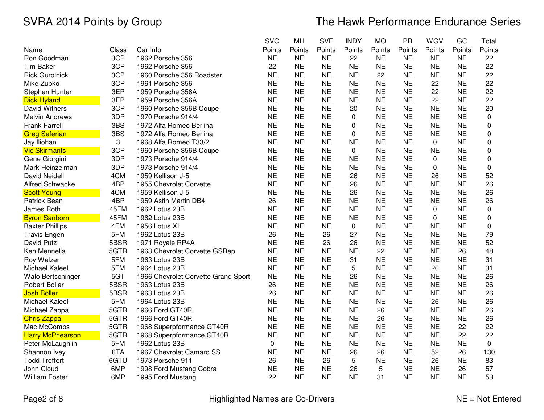|                         |       |                                     | <b>SVC</b> | MH        | <b>SVF</b> | <b>INDY</b>  | <b>MO</b> | <b>PR</b> | WGV         | GC        | Total       |
|-------------------------|-------|-------------------------------------|------------|-----------|------------|--------------|-----------|-----------|-------------|-----------|-------------|
| Name                    | Class | Car Info                            | Points     | Points    | Points     | Points       | Points    | Points    | Points      | Points    | Points      |
| Ron Goodman             | 3CP   | 1962 Porsche 356                    | <b>NE</b>  | <b>NE</b> | <b>NE</b>  | 22           | <b>NE</b> | <b>NE</b> | <b>NE</b>   | <b>NE</b> | 22          |
| <b>Tim Baker</b>        | 3CP   | 1962 Porsche 356                    | 22         | <b>NE</b> | <b>NE</b>  | <b>NE</b>    | <b>NE</b> | <b>NE</b> | <b>NE</b>   | <b>NE</b> | 22          |
| <b>Rick Gurolnick</b>   | 3CP   | 1960 Porsche 356 Roadster           | <b>NE</b>  | <b>NE</b> | <b>NE</b>  | <b>NE</b>    | 22        | <b>NE</b> | <b>NE</b>   | <b>NE</b> | 22          |
| Mike Zubko              | 3CP   | 1961 Porsche 356                    | <b>NE</b>  | <b>NE</b> | <b>NE</b>  | <b>NE</b>    | <b>NE</b> | <b>NE</b> | 22          | <b>NE</b> | 22          |
| Stephen Hunter          | 3EP   | 1959 Porsche 356A                   | <b>NE</b>  | <b>NE</b> | <b>NE</b>  | <b>NE</b>    | <b>NE</b> | <b>NE</b> | 22          | <b>NE</b> | 22          |
| <b>Dick Hyland</b>      | 3EP   | 1959 Porsche 356A                   | <b>NE</b>  | <b>NE</b> | <b>NE</b>  | <b>NE</b>    | <b>NE</b> | <b>NE</b> | 22          | <b>NE</b> | 22          |
| David Withers           | 3CP   | 1960 Porsche 356B Coupe             | <b>NE</b>  | <b>NE</b> | <b>NE</b>  | 20           | <b>NE</b> | <b>NE</b> | <b>NE</b>   | <b>NE</b> | 20          |
| <b>Melvin Andrews</b>   | 3DP   | 1970 Porsche 914/4                  | <b>NE</b>  | <b>NE</b> | <b>NE</b>  | $\mathbf{0}$ | <b>NE</b> | <b>NE</b> | <b>NE</b>   | <b>NE</b> | $\mathbf 0$ |
| <b>Frank Farrell</b>    | 3BS   | 1972 Alfa Romeo Berlina             | <b>NE</b>  | <b>NE</b> | <b>NE</b>  | 0            | <b>NE</b> | <b>NE</b> | <b>NE</b>   | <b>NE</b> | 0           |
| <b>Greg Seferian</b>    | 3BS   | 1972 Alfa Romeo Berlina             | <b>NE</b>  | <b>NE</b> | <b>NE</b>  | $\Omega$     | <b>NE</b> | <b>NE</b> | <b>NE</b>   | <b>NE</b> | 0           |
| Jay Iliohan             | 3     | 1968 Alfa Romeo T33/2               | <b>NE</b>  | <b>NE</b> | <b>NE</b>  | <b>NE</b>    | <b>NE</b> | <b>NE</b> | $\mathbf 0$ | <b>NE</b> | 0           |
| <b>Vic Skirmants</b>    | 3CP   | 1960 Porsche 356B Coupe             | <b>NE</b>  | <b>NE</b> | <b>NE</b>  | $\mathbf 0$  | <b>NE</b> | <b>NE</b> | <b>NE</b>   | <b>NE</b> | 0           |
| Gene Giorgini           | 3DP   | 1973 Porsche 914/4                  | <b>NE</b>  | <b>NE</b> | <b>NE</b>  | <b>NE</b>    | <b>NE</b> | <b>NE</b> | 0           | <b>NE</b> | 0           |
| Mark Heinzelman         | 3DP   | 1973 Porsche 914/4                  | <b>NE</b>  | <b>NE</b> | <b>NE</b>  | <b>NE</b>    | <b>NE</b> | <b>NE</b> | 0           | <b>NE</b> | $\mathbf 0$ |
| <b>David Neidell</b>    | 4CM   | 1959 Kellison J-5                   | <b>NE</b>  | <b>NE</b> | <b>NE</b>  | 26           | <b>NE</b> | <b>NE</b> | 26          | <b>NE</b> | 52          |
| <b>Alfred Schwacke</b>  | 4BP   | 1955 Chevrolet Corvette             | <b>NE</b>  | <b>NE</b> | <b>NE</b>  | 26           | <b>NE</b> | <b>NE</b> | <b>NE</b>   | <b>NE</b> | 26          |
| <b>Scott Young</b>      | 4CM   | 1959 Kellison J-5                   | <b>NE</b>  | <b>NE</b> | <b>NE</b>  | 26           | <b>NE</b> | <b>NE</b> | <b>NE</b>   | <b>NE</b> | 26          |
| Patrick Bean            | 4BP   | 1959 Astin Martin DB4               | 26         | <b>NE</b> | <b>NE</b>  | <b>NE</b>    | <b>NE</b> | <b>NE</b> | <b>NE</b>   | <b>NE</b> | 26          |
| James Roth              | 45FM  | 1962 Lotus 23B                      | <b>NE</b>  | <b>NE</b> | <b>NE</b>  | <b>NE</b>    | <b>NE</b> | <b>NE</b> | 0           | <b>NE</b> | $\mathbf 0$ |
| <b>Byron Sanborn</b>    | 45FM  | 1962 Lotus 23B                      | <b>NE</b>  | <b>NE</b> | <b>NE</b>  | <b>NE</b>    | <b>NE</b> | <b>NE</b> | 0           | <b>NE</b> | 0           |
| <b>Baxter Phillips</b>  | 4FM   | 1956 Lotus XI                       | <b>NE</b>  | <b>NE</b> | <b>NE</b>  | $\pmb{0}$    | <b>NE</b> | <b>NE</b> | <b>NE</b>   | <b>NE</b> | $\mathbf 0$ |
| <b>Travis Engen</b>     | 5FM   | 1962 Lotus 23B                      | 26         | <b>NE</b> | 26         | 27           | <b>NE</b> | <b>NE</b> | <b>NE</b>   | <b>NE</b> | 79          |
| David Putz              | 5BSR  | 1971 Royale RP4A                    | <b>NE</b>  | <b>NE</b> | 26         | 26           | <b>NE</b> | <b>NE</b> | <b>NE</b>   | <b>NE</b> | 52          |
| Ken Mennella            | 5GTR  | 1963 Chevrolet Corvette GSRep       | <b>NE</b>  | <b>NE</b> | <b>NE</b>  | <b>NE</b>    | 22        | <b>NE</b> | <b>NE</b>   | 26        | 48          |
| Roy Walzer              | 5FM   | 1963 Lotus 23B                      | <b>NE</b>  | <b>NE</b> | <b>NE</b>  | 31           | <b>NE</b> | <b>NE</b> | <b>NE</b>   | <b>NE</b> | 31          |
| Michael Kaleel          | 5FM   | 1964 Lotus 23B                      | <b>NE</b>  | <b>NE</b> | <b>NE</b>  | 5            | <b>NE</b> | <b>NE</b> | 26          | <b>NE</b> | 31          |
| Walo Bertschinger       | 5GT   | 1966 Chevrolet Corvette Grand Sport | <b>NE</b>  | <b>NE</b> | <b>NE</b>  | 26           | <b>NE</b> | <b>NE</b> | <b>NE</b>   | <b>NE</b> | 26          |
| <b>Robert Boller</b>    | 5BSR  | 1963 Lotus 23B                      | 26         | <b>NE</b> | <b>NE</b>  | <b>NE</b>    | <b>NE</b> | <b>NE</b> | <b>NE</b>   | <b>NE</b> | 26          |
| <b>Josh Boller</b>      | 5BSR  | 1963 Lotus 23B                      | 26         | <b>NE</b> | <b>NE</b>  | <b>NE</b>    | <b>NE</b> | <b>NE</b> | <b>NE</b>   | <b>NE</b> | 26          |
| Michael Kaleel          | 5FM   | 1964 Lotus 23B                      | <b>NE</b>  | <b>NE</b> | <b>NE</b>  | <b>NE</b>    | <b>NE</b> | <b>NE</b> | 26          | <b>NE</b> | 26          |
| Michael Zappa           | 5GTR  | 1966 Ford GT40R                     | <b>NE</b>  | <b>NE</b> | <b>NE</b>  | <b>NE</b>    | 26        | <b>NE</b> | <b>NE</b>   | <b>NE</b> | 26          |
| <b>Chris Zappa</b>      | 5GTR  | 1966 Ford GT40R                     | <b>NE</b>  | <b>NE</b> | <b>NE</b>  | <b>NE</b>    | 26        | <b>NE</b> | <b>NE</b>   | <b>NE</b> | 26          |
| Mac McCombs             | 5GTR  | 1968 Superpformance GT40R           | <b>NE</b>  | <b>NE</b> | <b>NE</b>  | <b>NE</b>    | <b>NE</b> | <b>NE</b> | <b>NE</b>   | 22        | 22          |
| <b>Harry McPhearson</b> | 5GTR  | 1968 Superpformance GT40R           | <b>NE</b>  | <b>NE</b> | <b>NE</b>  | <b>NE</b>    | <b>NE</b> | <b>NE</b> | <b>NE</b>   | 22        | 22          |
| Peter McLaughlin        | 5FM   | 1962 Lotus 23B                      | 0          | <b>NE</b> | <b>NE</b>  | <b>NE</b>    | <b>NE</b> | <b>NE</b> | <b>NE</b>   | <b>NE</b> | 0           |
| Shannon Ivey            | 6TA   | 1967 Chevrolet Camaro SS            | <b>NE</b>  | <b>NE</b> | <b>NE</b>  | 26           | 26        | <b>NE</b> | 52          | 26        | 130         |
| <b>Todd Treffert</b>    | 6GTU  | 1973 Porsche 911                    | 26         | <b>NE</b> | 26         | 5            | <b>NE</b> | <b>NE</b> | 26          | <b>NE</b> | 83          |
| John Cloud              | 6MP   | 1998 Ford Mustang Cobra             | <b>NE</b>  | <b>NE</b> | <b>NE</b>  | 26           | 5         | <b>NE</b> | <b>NE</b>   | 26        | 57          |
| <b>William Foster</b>   | 6MP   | 1995 Ford Mustang                   | 22         | <b>NE</b> | <b>NE</b>  | <b>NE</b>    | 31        | <b>NE</b> | <b>NE</b>   | <b>NE</b> | 53          |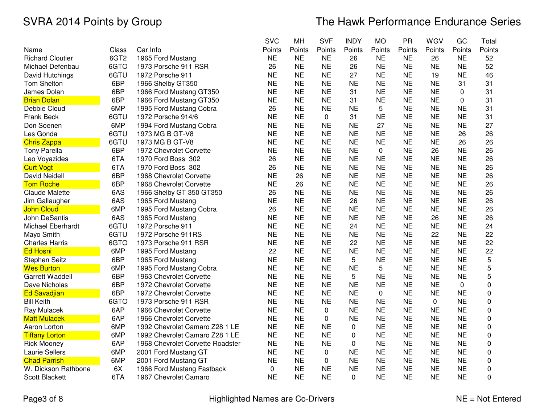|                         |                  |                                  | <b>SVC</b> | MH        | <b>SVF</b>  | <b>INDY</b> | <b>MO</b> | PR        | WGV       | GC        | Total  |
|-------------------------|------------------|----------------------------------|------------|-----------|-------------|-------------|-----------|-----------|-----------|-----------|--------|
| Name                    | Class            | Car Info                         | Points     | Points    | Points      | Points      | Points    | Points    | Points    | Points    | Points |
| <b>Richard Cloutier</b> | 6GT <sub>2</sub> | 1965 Ford Mustang                | <b>NE</b>  | <b>NE</b> | <b>NE</b>   | 26          | <b>NE</b> | <b>NE</b> | 26        | <b>NE</b> | 52     |
| Michael Defenbau        | 6GTO             | 1973 Porsche 911 RSR             | 26         | <b>NE</b> | <b>NE</b>   | 26          | <b>NE</b> | <b>NE</b> | <b>NE</b> | <b>NE</b> | 52     |
| David Hutchings         | 6GTU             | 1972 Porsche 911                 | <b>NE</b>  | <b>NE</b> | <b>NE</b>   | 27          | <b>NE</b> | <b>NE</b> | 19        | <b>NE</b> | 46     |
| <b>Tom Shelton</b>      | 6BP              | 1966 Shelby GT350                | <b>NE</b>  | <b>NE</b> | <b>NE</b>   | <b>NE</b>   | <b>NE</b> | <b>NE</b> | <b>NE</b> | 31        | 31     |
| James Dolan             | 6BP              | 1966 Ford Mustang GT350          | <b>NE</b>  | <b>NE</b> | <b>NE</b>   | 31          | <b>NE</b> | <b>NE</b> | <b>NE</b> | 0         | 31     |
| <b>Brian Dolan</b>      | 6BP              | 1966 Ford Mustang GT350          | <b>NE</b>  | <b>NE</b> | <b>NE</b>   | 31          | <b>NE</b> | <b>NE</b> | <b>NE</b> | 0         | 31     |
| Debbie Cloud            | 6MP              | 1995 Ford Mustang Cobra          | 26         | <b>NE</b> | <b>NE</b>   | <b>NE</b>   | 5         | <b>NE</b> | <b>NE</b> | <b>NE</b> | 31     |
| Frank Beck              | 6GTU             | 1972 Porsche 914/6               | <b>NE</b>  | <b>NE</b> | $\Omega$    | 31          | <b>NE</b> | <b>NE</b> | <b>NE</b> | <b>NE</b> | 31     |
| Don Soenen              | 6MP              | 1994 Ford Mustang Cobra          | <b>NE</b>  | <b>NE</b> | <b>NE</b>   | <b>NE</b>   | 27        | <b>NE</b> | <b>NE</b> | <b>NE</b> | 27     |
| Les Gonda               | 6GTU             | 1973 MG B GT-V8                  | <b>NE</b>  | <b>NE</b> | <b>NE</b>   | <b>NE</b>   | <b>NE</b> | <b>NE</b> | <b>NE</b> | 26        | 26     |
| <b>Chris Zappa</b>      | 6GTU             | 1973 MG B GT-V8                  | <b>NE</b>  | <b>NE</b> | <b>NE</b>   | <b>NE</b>   | <b>NE</b> | <b>NE</b> | <b>NE</b> | 26        | 26     |
| <b>Tony Parella</b>     | 6BP              | 1972 Chevrolet Corvette          | <b>NE</b>  | <b>NE</b> | <b>NE</b>   | <b>NE</b>   | 0         | <b>NE</b> | 26        | <b>NE</b> | 26     |
| Leo Voyazides           | 6TA              | 1970 Ford Boss 302               | 26         | <b>NE</b> | <b>NE</b>   | <b>NE</b>   | <b>NE</b> | <b>NE</b> | <b>NE</b> | <b>NE</b> | 26     |
| <b>Curt Vogt</b>        | 6TA              | 1970 Ford Boss 302               | 26         | <b>NE</b> | <b>NE</b>   | <b>NE</b>   | <b>NE</b> | <b>NE</b> | <b>NE</b> | <b>NE</b> | 26     |
| <b>David Neidell</b>    | 6BP              | 1968 Chevrolet Corvette          | <b>NE</b>  | 26        | <b>NE</b>   | <b>NE</b>   | <b>NE</b> | <b>NE</b> | <b>NE</b> | <b>NE</b> | 26     |
| <b>Tom Roche</b>        | 6BP              | 1968 Chevrolet Corvette          | <b>NE</b>  | 26        | <b>NE</b>   | <b>NE</b>   | <b>NE</b> | <b>NE</b> | <b>NE</b> | <b>NE</b> | 26     |
| <b>Claude Malette</b>   | 6AS              | 1966 Shelby GT 350 GT350         | 26         | <b>NE</b> | <b>NE</b>   | <b>NE</b>   | <b>NE</b> | <b>NE</b> | <b>NE</b> | <b>NE</b> | 26     |
| Jim Gallaugher          | 6AS              | 1965 Ford Mustang                | <b>NE</b>  | <b>NE</b> | <b>NE</b>   | 26          | <b>NE</b> | <b>NE</b> | <b>NE</b> | <b>NE</b> | 26     |
| <b>John Cloud</b>       | 6MP              | 1995 Ford Mustang Cobra          | 26         | <b>NE</b> | <b>NE</b>   | <b>NE</b>   | <b>NE</b> | <b>NE</b> | <b>NE</b> | <b>NE</b> | 26     |
| <b>John DeSantis</b>    | 6AS              | 1965 Ford Mustang                | <b>NE</b>  | <b>NE</b> | <b>NE</b>   | <b>NE</b>   | <b>NE</b> | <b>NE</b> | 26        | <b>NE</b> | 26     |
| Michael Eberhardt       | 6GTU             | 1972 Porsche 911                 | <b>NE</b>  | <b>NE</b> | <b>NE</b>   | 24          | <b>NE</b> | <b>NE</b> | <b>NE</b> | <b>NE</b> | 24     |
| Mayo Smith              | 6GTU             | 1972 Porsche 911RS               | <b>NE</b>  | <b>NE</b> | <b>NE</b>   | <b>NE</b>   | <b>NE</b> | <b>NE</b> | 22        | <b>NE</b> | 22     |
| <b>Charles Harris</b>   | 6GTO             | 1973 Porsche 911 RSR             | <b>NE</b>  | <b>NE</b> | <b>NE</b>   | 22          | <b>NE</b> | <b>NE</b> | <b>NE</b> | <b>NE</b> | 22     |
| <b>Ed Hosni</b>         | 6MP              | 1995 Ford Mustang                | 22         | <b>NE</b> | <b>NE</b>   | <b>NE</b>   | <b>NE</b> | <b>NE</b> | <b>NE</b> | <b>NE</b> | 22     |
| <b>Stephen Seitz</b>    | 6BP              | 1965 Ford Mustang                | <b>NE</b>  | <b>NE</b> | <b>NE</b>   | 5           | <b>NE</b> | <b>NE</b> | <b>NE</b> | <b>NE</b> | 5      |
| <b>Wes Burton</b>       | 6MP              | 1995 Ford Mustang Cobra          | <b>NE</b>  | <b>NE</b> | <b>NE</b>   | <b>NE</b>   | 5         | <b>NE</b> | <b>NE</b> | <b>NE</b> | 5      |
| <b>Garrett Waddell</b>  | 6BP              | 1963 Chevrolet Corvette          | <b>NE</b>  | <b>NE</b> | <b>NE</b>   | 5           | <b>NE</b> | <b>NE</b> | <b>NE</b> | <b>NE</b> | 5      |
| Dave Nicholas           | 6BP              | 1972 Chevrolet Corvette          | <b>NE</b>  | <b>NE</b> | <b>NE</b>   | <b>NE</b>   | <b>NE</b> | <b>NE</b> | <b>NE</b> | 0         | 0      |
| <b>Ed Savadjian</b>     | 6BP              | 1972 Chevrolet Corvette          | <b>NE</b>  | <b>NE</b> | <b>NE</b>   | <b>NE</b>   | 0         | <b>NE</b> | <b>NE</b> | <b>NE</b> | 0      |
| <b>Bill Keith</b>       | 6GTO             | 1973 Porsche 911 RSR             | <b>NE</b>  | <b>NE</b> | <b>NE</b>   | <b>NE</b>   | <b>NE</b> | <b>NE</b> | 0         | <b>NE</b> | 0      |
| Ray Mulacek             | 6AP              | 1966 Chevrolet Corvette          | <b>NE</b>  | <b>NE</b> | $\mathbf 0$ | <b>NE</b>   | <b>NE</b> | <b>NE</b> | <b>NE</b> | <b>NE</b> | 0      |
| <b>Matt Mulacek</b>     | 6AP              | 1966 Chevrolet Corvette          | <b>NE</b>  | <b>NE</b> | $\mathbf 0$ | <b>NE</b>   | <b>NE</b> | <b>NE</b> | <b>NE</b> | <b>NE</b> | 0      |
| Aaron Lorton            | 6MP              | 1992 Chevrolet Camaro Z28 1 LE   | <b>NE</b>  | <b>NE</b> | <b>NE</b>   | $\pmb{0}$   | <b>NE</b> | <b>NE</b> | <b>NE</b> | <b>NE</b> | 0      |
| <b>Tiffany Lorton</b>   | 6MP              | 1992 Chevrolet Camaro Z28 1 LE   | <b>NE</b>  | <b>NE</b> | <b>NE</b>   | 0           | <b>NE</b> | <b>NE</b> | <b>NE</b> | <b>NE</b> | 0      |
| <b>Rick Mooney</b>      | 6AP              | 1968 Chevrolet Corvette Roadster | <b>NE</b>  | <b>NE</b> | <b>NE</b>   | 0           | <b>NE</b> | <b>NE</b> | <b>NE</b> | <b>NE</b> | 0      |
| <b>Laurie Sellers</b>   | 6MP              | 2001 Ford Mustang GT             | <b>NE</b>  | <b>NE</b> | $\pmb{0}$   | <b>NE</b>   | <b>NE</b> | <b>NE</b> | <b>NE</b> | <b>NE</b> | 0      |
| <b>Chad Parrish</b>     | 6MP              | 2001 Ford Mustang GT             | <b>NE</b>  | <b>NE</b> | $\mathbf 0$ | <b>NE</b>   | <b>NE</b> | <b>NE</b> | <b>NE</b> | <b>NE</b> | 0      |
| W. Dickson Rathbone     | 6X               | 1966 Ford Mustang Fastback       | 0          | <b>NE</b> | <b>NE</b>   | <b>NE</b>   | <b>NE</b> | <b>NE</b> | <b>NE</b> | <b>NE</b> | 0      |
| Scott Blackett          | 6TA              | 1967 Chevrolet Camaro            | <b>NE</b>  | <b>NE</b> | <b>NE</b>   | $\Omega$    | <b>NE</b> | <b>NE</b> | <b>NE</b> | <b>NE</b> | 0      |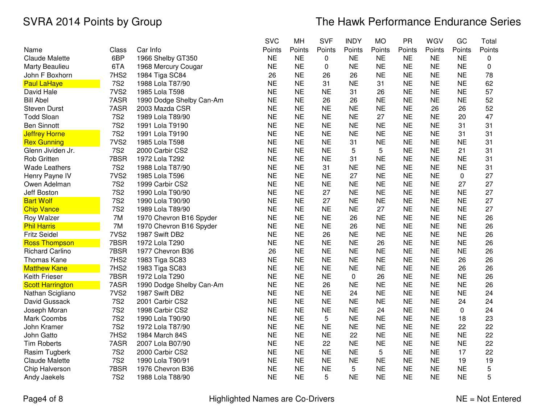|                         |                  |                          | <b>SVC</b> | MH        | <b>SVF</b> | <b>INDY</b> | <b>MO</b> | PR        | WGV       | GC          | Total       |
|-------------------------|------------------|--------------------------|------------|-----------|------------|-------------|-----------|-----------|-----------|-------------|-------------|
| Name                    | Class            | Car Info                 | Points     | Points    | Points     | Points      | Points    | Points    | Points    | Points      | Points      |
| <b>Claude Malette</b>   | 6BP              | 1966 Shelby GT350        | <b>NE</b>  | <b>NE</b> | 0          | <b>NE</b>   | <b>NE</b> | <b>NE</b> | <b>NE</b> | <b>NE</b>   | 0           |
| <b>Marty Beaulieu</b>   | 6TA              | 1968 Mercury Cougar      | <b>NE</b>  | <b>NE</b> | 0          | <b>NE</b>   | <b>NE</b> | <b>NE</b> | <b>NE</b> | <b>NE</b>   | $\mathbf 0$ |
| John F Boxhorn          | 7HS2             | 1984 Tiga SC84           | 26         | <b>NE</b> | 26         | 26          | <b>NE</b> | <b>NE</b> | <b>NE</b> | <b>NE</b>   | 78          |
| <b>Paul LaHaye</b>      | <b>7S2</b>       | 1988 Lola T87/90         | <b>NE</b>  | <b>NE</b> | 31         | <b>NE</b>   | 31        | <b>NE</b> | <b>NE</b> | <b>NE</b>   | 62          |
| David Hale              | 7VS <sub>2</sub> | 1985 Lola T598           | <b>NE</b>  | <b>NE</b> | <b>NE</b>  | 31          | 26        | <b>NE</b> | <b>NE</b> | <b>NE</b>   | 57          |
| <b>Bill Abel</b>        | 7ASR             | 1990 Dodge Shelby Can-Am | <b>NE</b>  | <b>NE</b> | 26         | 26          | <b>NE</b> | <b>NE</b> | <b>NE</b> | <b>NE</b>   | 52          |
| <b>Steven Durst</b>     | 7ASR             | 2003 Mazda CSR           | <b>NE</b>  | <b>NE</b> | <b>NE</b>  | <b>NE</b>   | <b>NE</b> | <b>NE</b> | 26        | 26          | 52          |
| <b>Todd Sloan</b>       | <b>7S2</b>       | 1989 Lola T89/90         | <b>NE</b>  | <b>NE</b> | <b>NE</b>  | <b>NE</b>   | 27        | <b>NE</b> | <b>NE</b> | 20          | 47          |
| <b>Ben Sinnott</b>      | <b>7S2</b>       | 1991 Lola T9190          | <b>NE</b>  | <b>NE</b> | <b>NE</b>  | <b>NE</b>   | <b>NE</b> | <b>NE</b> | <b>NE</b> | 31          | 31          |
| <b>Jeffrey Horne</b>    | <b>7S2</b>       | 1991 Lola T9190          | <b>NE</b>  | <b>NE</b> | <b>NE</b>  | <b>NE</b>   | <b>NE</b> | <b>NE</b> | <b>NE</b> | 31          | 31          |
| <b>Rex Gunning</b>      | 7VS <sub>2</sub> | 1985 Lola T598           | <b>NE</b>  | <b>NE</b> | <b>NE</b>  | 31          | <b>NE</b> | <b>NE</b> | <b>NE</b> | <b>NE</b>   | 31          |
| Glenn Jividen Jr.       | <b>7S2</b>       | 2000 Carbir CS2          | <b>NE</b>  | <b>NE</b> | <b>NE</b>  | 5           | 5         | <b>NE</b> | <b>NE</b> | 21          | 31          |
| Rob Gritten             | 7BSR             | 1972 Lola T292           | <b>NE</b>  | <b>NE</b> | <b>NE</b>  | 31          | <b>NE</b> | <b>NE</b> | <b>NE</b> | <b>NE</b>   | 31          |
| <b>Wade Leathers</b>    | <b>7S2</b>       | 1988 Lola T87/90         | <b>NE</b>  | <b>NE</b> | 31         | <b>NE</b>   | <b>NE</b> | <b>NE</b> | <b>NE</b> | <b>NE</b>   | 31          |
| Henry Payne IV          | 7VS <sub>2</sub> | 1985 Lola T596           | <b>NE</b>  | <b>NE</b> | <b>NE</b>  | 27          | <b>NE</b> | <b>NE</b> | <b>NE</b> | $\mathbf 0$ | 27          |
| Owen Adelman            | <b>7S2</b>       | 1999 Carbir CS2          | <b>NE</b>  | <b>NE</b> | <b>NE</b>  | <b>NE</b>   | <b>NE</b> | <b>NE</b> | <b>NE</b> | 27          | 27          |
| Jeff Boston             | <b>7S2</b>       | 1990 Lola T90/90         | <b>NE</b>  | <b>NE</b> | 27         | <b>NE</b>   | <b>NE</b> | <b>NE</b> | <b>NE</b> | <b>NE</b>   | 27          |
| <b>Bart Wolf</b>        | <b>7S2</b>       | 1990 Lola T90/90         | <b>NE</b>  | <b>NE</b> | 27         | <b>NE</b>   | <b>NE</b> | <b>NE</b> | <b>NE</b> | <b>NE</b>   | 27          |
| <b>Chip Vance</b>       | <b>7S2</b>       | 1989 Lola T89/90         | <b>NE</b>  | <b>NE</b> | <b>NE</b>  | <b>NE</b>   | 27        | <b>NE</b> | <b>NE</b> | <b>NE</b>   | 27          |
| Roy Walzer              | 7M               | 1970 Chevron B16 Spyder  | <b>NE</b>  | <b>NE</b> | <b>NE</b>  | 26          | <b>NE</b> | <b>NE</b> | <b>NE</b> | <b>NE</b>   | 26          |
| <b>Phil Harris</b>      | 7M               | 1970 Chevron B16 Spyder  | <b>NE</b>  | <b>NE</b> | <b>NE</b>  | 26          | <b>NE</b> | <b>NE</b> | <b>NE</b> | <b>NE</b>   | 26          |
| <b>Fritz Seidel</b>     | 7VS <sub>2</sub> | 1987 Swift DB2           | <b>NE</b>  | <b>NE</b> | 26         | <b>NE</b>   | <b>NE</b> | <b>NE</b> | <b>NE</b> | <b>NE</b>   | 26          |
| <b>Ross Thompson</b>    | 7BSR             | 1972 Lola T290           | <b>NE</b>  | <b>NE</b> | <b>NE</b>  | <b>NE</b>   | 26        | <b>NE</b> | <b>NE</b> | <b>NE</b>   | 26          |
| <b>Richard Carlino</b>  | 7BSR             | 1977 Chevron B36         | 26         | <b>NE</b> | <b>NE</b>  | <b>NE</b>   | <b>NE</b> | <b>NE</b> | <b>NE</b> | <b>NE</b>   | 26          |
| <b>Thomas Kane</b>      | 7HS2             | 1983 Tiga SC83           | <b>NE</b>  | <b>NE</b> | <b>NE</b>  | <b>NE</b>   | <b>NE</b> | <b>NE</b> | <b>NE</b> | 26          | 26          |
| <b>Matthew Kane</b>     | 7HS <sub>2</sub> | 1983 Tiga SC83           | <b>NE</b>  | <b>NE</b> | <b>NE</b>  | <b>NE</b>   | <b>NE</b> | <b>NE</b> | <b>NE</b> | 26          | 26          |
| Keith Frieser           | 7BSR             | 1972 Lola T290           | <b>NE</b>  | <b>NE</b> | <b>NE</b>  | 0           | 26        | <b>NE</b> | <b>NE</b> | <b>NE</b>   | 26          |
| <b>Scott Harrington</b> | 7ASR             | 1990 Dodge Shelby Can-Am | <b>NE</b>  | <b>NE</b> | 26         | <b>NE</b>   | <b>NE</b> | <b>NE</b> | <b>NE</b> | <b>NE</b>   | 26          |
| Nathan Scigliano        | 7VS <sub>2</sub> | 1987 Swift DB2           | <b>NE</b>  | <b>NE</b> | <b>NE</b>  | 24          | <b>NE</b> | <b>NE</b> | <b>NE</b> | <b>NE</b>   | 24          |
| David Gussack           | <b>7S2</b>       | 2001 Carbir CS2          | <b>NE</b>  | <b>NE</b> | <b>NE</b>  | <b>NE</b>   | <b>NE</b> | <b>NE</b> | <b>NE</b> | 24          | 24          |
| Joseph Moran            | <b>7S2</b>       | 1998 Carbir CS2          | <b>NE</b>  | <b>NE</b> | <b>NE</b>  | <b>NE</b>   | 24        | <b>NE</b> | <b>NE</b> | 0           | 24          |
| Mark Coombs             | <b>7S2</b>       | 1990 Lola T90/90         | <b>NE</b>  | <b>NE</b> | 5          | <b>NE</b>   | <b>NE</b> | <b>NE</b> | <b>NE</b> | 18          | 23          |
| John Kramer             | <b>7S2</b>       | 1972 Lola T87/90         | <b>NE</b>  | <b>NE</b> | <b>NE</b>  | <b>NE</b>   | <b>NE</b> | <b>NE</b> | <b>NE</b> | 22          | 22          |
| John Gatto              | 7HS2             | 1984 March 84S           | <b>NE</b>  | <b>NE</b> | <b>NE</b>  | 22          | <b>NE</b> | <b>NE</b> | <b>NE</b> | <b>NE</b>   | 22          |
| <b>Tim Roberts</b>      | 7ASR             | 2007 Lola B07/90         | <b>NE</b>  | <b>NE</b> | 22         | <b>NE</b>   | <b>NE</b> | <b>NE</b> | <b>NE</b> | <b>NE</b>   | 22          |
| Rasim Tugberk           | <b>7S2</b>       | 2000 Carbir CS2          | <b>NE</b>  | <b>NE</b> | <b>NE</b>  | <b>NE</b>   | 5         | <b>NE</b> | <b>NE</b> | 17          | 22          |
| <b>Claude Malette</b>   | <b>7S2</b>       | 1990 Lola T90/91         | <b>NE</b>  | <b>NE</b> | <b>NE</b>  | <b>NE</b>   | <b>NE</b> | <b>NE</b> | <b>NE</b> | 19          | 19          |
| Chip Halverson          | 7BSR             | 1976 Chevron B36         | <b>NE</b>  | <b>NE</b> | <b>NE</b>  | 5           | <b>NE</b> | <b>NE</b> | <b>NE</b> | <b>NE</b>   | 5           |
| Andy Jaekels            | <b>7S2</b>       | 1988 Lola T88/90         | <b>NE</b>  | <b>NE</b> | 5          | <b>NE</b>   | <b>NE</b> | <b>NE</b> | <b>NE</b> | <b>NE</b>   | 5           |

Page4 of 8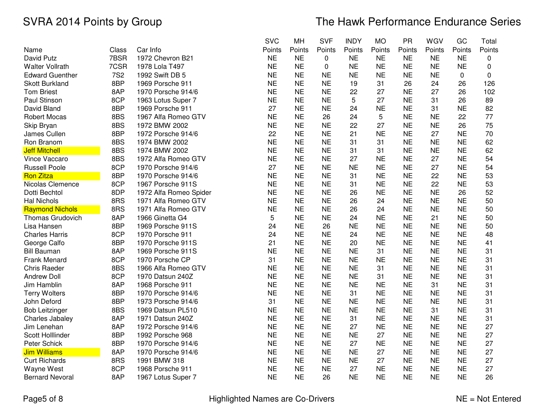|                         |            |                        | <b>SVC</b> | MH        | <b>SVF</b> | <b>INDY</b> | <b>MO</b> | PR        | WGV       | GC          | Total        |
|-------------------------|------------|------------------------|------------|-----------|------------|-------------|-----------|-----------|-----------|-------------|--------------|
| Name                    | Class      | Car Info               | Points     | Points    | Points     | Points      | Points    | Points    | Points    | Points      | Points       |
| David Putz              | 7BSR       | 1972 Chevron B21       | <b>NE</b>  | <b>NE</b> | 0          | <b>NE</b>   | <b>NE</b> | <b>NE</b> | <b>NE</b> | <b>NE</b>   | 0            |
| <b>Walter Vollrath</b>  | 7CSR       | 1978 Lola T497         | <b>NE</b>  | <b>NE</b> | 0          | <b>NE</b>   | <b>NE</b> | <b>NE</b> | <b>NE</b> | <b>NE</b>   | $\mathbf 0$  |
| <b>Edward Guenther</b>  | <b>7S2</b> | 1992 Swift DB 5        | <b>NE</b>  | <b>NE</b> | <b>NE</b>  | <b>NE</b>   | <b>NE</b> | <b>NE</b> | <b>NE</b> | $\mathbf 0$ | $\mathbf{0}$ |
| <b>Skott Burkland</b>   | 8BP        | 1969 Porsche 911       | <b>NE</b>  | <b>NE</b> | <b>NE</b>  | 19          | 31        | 26        | 24        | 26          | 126          |
| <b>Tom Briest</b>       | 8AP        | 1970 Porsche 914/6     | <b>NE</b>  | <b>NE</b> | <b>NE</b>  | 22          | 27        | <b>NE</b> | 27        | 26          | 102          |
| Paul Stinson            | 8CP        | 1963 Lotus Super 7     | <b>NE</b>  | <b>NE</b> | <b>NE</b>  | 5           | 27        | <b>NE</b> | 31        | 26          | 89           |
| David Bland             | 8BP        | 1969 Porsche 911       | 27         | <b>NE</b> | <b>NE</b>  | 24          | <b>NE</b> | <b>NE</b> | 31        | <b>NE</b>   | 82           |
| <b>Robert Mocas</b>     | 8BS        | 1967 Alfa Romeo GTV    | <b>NE</b>  | <b>NE</b> | 26         | 24          | 5         | <b>NE</b> | <b>NE</b> | 22          | 77           |
| Skip Bryan              | 8BS        | 1972 BMW 2002          | <b>NE</b>  | <b>NE</b> | <b>NE</b>  | 22          | 27        | <b>NE</b> | <b>NE</b> | 26          | 75           |
| James Cullen            | 8BP        | 1972 Porsche 914/6     | 22         | <b>NE</b> | <b>NE</b>  | 21          | <b>NE</b> | <b>NE</b> | 27        | <b>NE</b>   | 70           |
| Ron Branom              | 8BS        | 1974 BMW 2002          | <b>NE</b>  | <b>NE</b> | <b>NE</b>  | 31          | 31        | <b>NE</b> | <b>NE</b> | <b>NE</b>   | 62           |
| <b>Jeff Mitchell</b>    | 8BS        | 1974 BMW 2002          | <b>NE</b>  | <b>NE</b> | <b>NE</b>  | 31          | 31        | <b>NE</b> | <b>NE</b> | <b>NE</b>   | 62           |
| Vince Vaccaro           | 8BS        | 1972 Alfa Romeo GTV    | <b>NE</b>  | <b>NE</b> | <b>NE</b>  | 27          | <b>NE</b> | <b>NE</b> | 27        | <b>NE</b>   | 54           |
| <b>Russell Poole</b>    | 8CP        | 1970 Porsche 914/6     | 27         | <b>NE</b> | <b>NE</b>  | <b>NE</b>   | <b>NE</b> | <b>NE</b> | 27        | <b>NE</b>   | 54           |
| <b>Ron Zitza</b>        | 8BP        | 1970 Porsche 914/6     | <b>NE</b>  | <b>NE</b> | <b>NE</b>  | 31          | <b>NE</b> | <b>NE</b> | 22        | <b>NE</b>   | 53           |
| Nicolas Clemence        | 8CP        | 1967 Porsche 911S      | <b>NE</b>  | <b>NE</b> | <b>NE</b>  | 31          | <b>NE</b> | <b>NE</b> | 22        | <b>NE</b>   | 53           |
| Dotti Bechtol           | 8DP        | 1972 Alfa Romeo Spider | <b>NE</b>  | <b>NE</b> | <b>NE</b>  | 26          | <b>NE</b> | <b>NE</b> | <b>NE</b> | 26          | 52           |
| <b>Hal Nichols</b>      | 8RS        | 1971 Alfa Romeo GTV    | <b>NE</b>  | <b>NE</b> | <b>NE</b>  | 26          | 24        | <b>NE</b> | <b>NE</b> | <b>NE</b>   | 50           |
| <b>Raymond Nichols</b>  | 8RS        | 1971 Alfa Romeo GTV    | <b>NE</b>  | <b>NE</b> | <b>NE</b>  | 26          | 24        | <b>NE</b> | <b>NE</b> | <b>NE</b>   | 50           |
| <b>Thomas Grudovich</b> | 8AP        | 1966 Ginetta G4        | 5          | <b>NE</b> | <b>NE</b>  | 24          | <b>NE</b> | <b>NE</b> | 21        | <b>NE</b>   | 50           |
| Lisa Hansen             | 8BP        | 1969 Porsche 911S      | 24         | <b>NE</b> | 26         | <b>NE</b>   | <b>NE</b> | <b>NE</b> | <b>NE</b> | <b>NE</b>   | 50           |
| <b>Charles Harris</b>   | 8CP        | 1970 Porsche 911       | 24         | <b>NE</b> | <b>NE</b>  | 24          | <b>NE</b> | <b>NE</b> | <b>NE</b> | <b>NE</b>   | 48           |
| George Calfo            | 8BP        | 1970 Porsche 911S      | 21         | <b>NE</b> | <b>NE</b>  | 20          | <b>NE</b> | <b>NE</b> | <b>NE</b> | <b>NE</b>   | 41           |
| <b>Bill Bauman</b>      | 8AP        | 1969 Porsche 911S      | <b>NE</b>  | <b>NE</b> | <b>NE</b>  | <b>NE</b>   | 31        | <b>NE</b> | <b>NE</b> | <b>NE</b>   | 31           |
| <b>Frank Menard</b>     | 8CP        | 1970 Porsche CP        | 31         | <b>NE</b> | <b>NE</b>  | <b>NE</b>   | <b>NE</b> | <b>NE</b> | <b>NE</b> | <b>NE</b>   | 31           |
| <b>Chris Raeder</b>     | 8BS        | 1966 Alfa Romeo GTV    | <b>NE</b>  | <b>NE</b> | <b>NE</b>  | <b>NE</b>   | 31        | <b>NE</b> | <b>NE</b> | <b>NE</b>   | 31           |
| <b>Andrew Doll</b>      | 8CP        | 1970 Datsun 240Z       | <b>NE</b>  | <b>NE</b> | <b>NE</b>  | <b>NE</b>   | 31        | <b>NE</b> | <b>NE</b> | <b>NE</b>   | 31           |
| Jim Hamblin             | 8AP        | 1968 Porsche 911       | <b>NE</b>  | <b>NE</b> | <b>NE</b>  | <b>NE</b>   | <b>NE</b> | <b>NE</b> | 31        | <b>NE</b>   | 31           |
| <b>Terry Wolters</b>    | 8BP        | 1970 Porsche 914/6     | <b>NE</b>  | <b>NE</b> | <b>NE</b>  | 31          | <b>NE</b> | <b>NE</b> | <b>NE</b> | <b>NE</b>   | 31           |
| John Deford             | 8BP        | 1973 Porsche 914/6     | 31         | <b>NE</b> | <b>NE</b>  | <b>NE</b>   | <b>NE</b> | <b>NE</b> | <b>NE</b> | <b>NE</b>   | 31           |
| <b>Bob Leitzinger</b>   | 8BS        | 1969 Datsun PL510      | <b>NE</b>  | <b>NE</b> | <b>NE</b>  | <b>NE</b>   | <b>NE</b> | <b>NE</b> | 31        | <b>NE</b>   | 31           |
| Charles Jabaley         | 8AP        | 1971 Datsun 240Z       | <b>NE</b>  | <b>NE</b> | <b>NE</b>  | 31          | <b>NE</b> | <b>NE</b> | <b>NE</b> | <b>NE</b>   | 31           |
| Jim Lenehan             | 8AP        | 1972 Porsche 914/6     | <b>NE</b>  | <b>NE</b> | <b>NE</b>  | 27          | <b>NE</b> | <b>NE</b> | <b>NE</b> | <b>NE</b>   | 27           |
| Scott Holllinder        | 8BP        | 1992 Porsche 968       | <b>NE</b>  | <b>NE</b> | <b>NE</b>  | <b>NE</b>   | 27        | <b>NE</b> | <b>NE</b> | <b>NE</b>   | 27           |
| Peter Schick            | 8BP        | 1970 Porsche 914/6     | <b>NE</b>  | <b>NE</b> | <b>NE</b>  | 27          | <b>NE</b> | <b>NE</b> | <b>NE</b> | <b>NE</b>   | 27           |
| <b>Jim Williams</b>     | 8AP        | 1970 Porsche 914/6     | <b>NE</b>  | <b>NE</b> | <b>NE</b>  | <b>NE</b>   | 27        | <b>NE</b> | <b>NE</b> | <b>NE</b>   | 27           |
| <b>Curt Richards</b>    | 8RS        | 1991 BMW 318           | <b>NE</b>  | <b>NE</b> | <b>NE</b>  | <b>NE</b>   | 27        | <b>NE</b> | <b>NE</b> | <b>NE</b>   | 27           |
| <b>Wayne West</b>       | 8CP        | 1968 Porsche 911       | <b>NE</b>  | <b>NE</b> | <b>NE</b>  | 27          | <b>NE</b> | <b>NE</b> | <b>NE</b> | <b>NE</b>   | 27           |
| <b>Bernard Nevoral</b>  | 8AP        | 1967 Lotus Super 7     | <b>NE</b>  | <b>NE</b> | 26         | <b>NE</b>   | <b>NE</b> | <b>NE</b> | <b>NE</b> | <b>NE</b>   | 26           |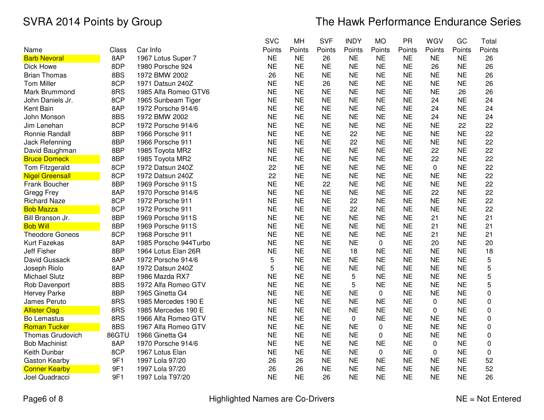|                        |       |                       | <b>SVC</b> | MH        | <b>SVF</b> | <b>INDY</b> | <b>MO</b> | <b>PR</b> | WGV       | GC        | Total       |
|------------------------|-------|-----------------------|------------|-----------|------------|-------------|-----------|-----------|-----------|-----------|-------------|
| Name                   | Class | Car Info              | Points     | Points    | Points     | Points      | Points    | Points    | Points    | Points    | Points      |
| <b>Barb Nevoral</b>    | 8AP   | 1967 Lotus Super 7    | <b>NE</b>  | <b>NE</b> | 26         | <b>NE</b>   | <b>NE</b> | <b>NE</b> | <b>NE</b> | <b>NE</b> | 26          |
| Dick Howe              | 8DP   | 1980 Porsche 924      | <b>NE</b>  | <b>NE</b> | <b>NE</b>  | <b>NE</b>   | <b>NE</b> | <b>NE</b> | 26        | <b>NE</b> | 26          |
| <b>Brian Thomas</b>    | 8BS   | 1972 BMW 2002         | 26         | <b>NE</b> | <b>NE</b>  | <b>NE</b>   | <b>NE</b> | <b>NE</b> | <b>NE</b> | <b>NE</b> | 26          |
| <b>Tom Miller</b>      | 8CP   | 1971 Datsun 240Z      | <b>NE</b>  | <b>NE</b> | 26         | <b>NE</b>   | <b>NE</b> | <b>NE</b> | <b>NE</b> | <b>NE</b> | 26          |
| Mark Brummond          | 8RS   | 1985 Alfa Romeo GTV6  | <b>NE</b>  | <b>NE</b> | <b>NE</b>  | <b>NE</b>   | <b>NE</b> | <b>NE</b> | <b>NE</b> | 26        | 26          |
| John Daniels Jr.       | 8CP   | 1965 Sunbeam Tiger    | <b>NE</b>  | <b>NE</b> | <b>NE</b>  | <b>NE</b>   | <b>NE</b> | <b>NE</b> | 24        | <b>NE</b> | 24          |
| Kent Bain              | 8AP   | 1972 Porsche 914/6    | <b>NE</b>  | <b>NE</b> | <b>NE</b>  | <b>NE</b>   | <b>NE</b> | <b>NE</b> | 24        | <b>NE</b> | 24          |
| John Monson            | 8BS   | 1972 BMW 2002         | <b>NE</b>  | <b>NE</b> | <b>NE</b>  | <b>NE</b>   | <b>NE</b> | <b>NE</b> | 24        | <b>NE</b> | 24          |
| Jim Lenehan            | 8CP   | 1972 Porsche 914/6    | <b>NE</b>  | <b>NE</b> | <b>NE</b>  | <b>NE</b>   | <b>NE</b> | <b>NE</b> | <b>NE</b> | 22        | 22          |
| Ronnie Randall         | 8BP   | 1966 Porsche 911      | <b>NE</b>  | <b>NE</b> | <b>NE</b>  | 22          | <b>NE</b> | <b>NE</b> | <b>NE</b> | <b>NE</b> | 22          |
| Jack Refenning         | 8BP   | 1966 Porsche 911      | <b>NE</b>  | <b>NE</b> | <b>NE</b>  | 22          | <b>NE</b> | <b>NE</b> | <b>NE</b> | <b>NE</b> | 22          |
| David Baughman         | 8BP   | 1985 Toyota MR2       | <b>NE</b>  | <b>NE</b> | <b>NE</b>  | <b>NE</b>   | <b>NE</b> | <b>NE</b> | 22        | <b>NE</b> | 22          |
| <b>Bruce Domeck</b>    | 8BP   | 1985 Toyota MR2       | <b>NE</b>  | <b>NE</b> | <b>NE</b>  | <b>NE</b>   | <b>NE</b> | <b>NE</b> | 22        | <b>NE</b> | 22          |
| Tom Fitzgerald         | 8CP   | 1972 Datsun 240Z      | 22         | <b>NE</b> | <b>NE</b>  | <b>NE</b>   | <b>NE</b> | <b>NE</b> | 0         | <b>NE</b> | 22          |
| <b>Nigel Greensall</b> | 8CP   | 1972 Datsun 240Z      | 22         | <b>NE</b> | <b>NE</b>  | <b>NE</b>   | <b>NE</b> | <b>NE</b> | <b>NE</b> | <b>NE</b> | 22          |
| Frank Boucher          | 8BP   | 1969 Porsche 911S     | <b>NE</b>  | <b>NE</b> | 22         | <b>NE</b>   | <b>NE</b> | <b>NE</b> | <b>NE</b> | <b>NE</b> | 22          |
| Gregg Frey             | 8AP   | 1970 Porsche 914/6    | <b>NE</b>  | <b>NE</b> | <b>NE</b>  | <b>NE</b>   | <b>NE</b> | <b>NE</b> | 22        | <b>NE</b> | 22          |
| <b>Richard Naze</b>    | 8CP   | 1972 Porsche 911      | <b>NE</b>  | <b>NE</b> | <b>NE</b>  | 22          | <b>NE</b> | <b>NE</b> | <b>NE</b> | <b>NE</b> | 22          |
| <b>Bob Mazza</b>       | 8CP   | 1972 Porsche 911      | <b>NE</b>  | <b>NE</b> | <b>NE</b>  | 22          | <b>NE</b> | <b>NE</b> | <b>NE</b> | <b>NE</b> | 22          |
| Bill Branson Jr.       | 8BP   | 1969 Porsche 911S     | <b>NE</b>  | <b>NE</b> | <b>NE</b>  | <b>NE</b>   | <b>NE</b> | <b>NE</b> | 21        | <b>NE</b> | 21          |
| <b>Bob Will</b>        | 8BP   | 1969 Porsche 911S     | <b>NE</b>  | <b>NE</b> | <b>NE</b>  | <b>NE</b>   | <b>NE</b> | <b>NE</b> | 21        | <b>NE</b> | 21          |
| <b>Theodore Goneos</b> | 8CP   | 1968 Porsche 911      | <b>NE</b>  | <b>NE</b> | <b>NE</b>  | <b>NE</b>   | <b>NE</b> | <b>NE</b> | 21        | <b>NE</b> | 21          |
| Kurt Fazekas           | 8AP   | 1985 Porsche 944Turbo | <b>NE</b>  | <b>NE</b> | <b>NE</b>  | <b>NE</b>   | 0         | <b>NE</b> | 20        | <b>NE</b> | 20          |
| <b>Jeff Fisher</b>     | 8BP   | 1964 Lotus Elan 26R   | <b>NE</b>  | <b>NE</b> | <b>NE</b>  | 18          | <b>NE</b> | <b>NE</b> | <b>NE</b> | <b>NE</b> | 18          |
| David Gussack          | 8AP   | 1972 Porsche 914/6    | 5          | <b>NE</b> | <b>NE</b>  | <b>NE</b>   | <b>NE</b> | <b>NE</b> | <b>NE</b> | <b>NE</b> | 5           |
| Joseph Riolo           | 8AP   | 1972 Datsun 240Z      | 5          | <b>NE</b> | <b>NE</b>  | <b>NE</b>   | <b>NE</b> | <b>NE</b> | <b>NE</b> | <b>NE</b> | 5           |
| Michael Slutz          | 8BP   | 1986 Mazda RX7        | <b>NE</b>  | <b>NE</b> | <b>NE</b>  | 5           | <b>NE</b> | <b>NE</b> | <b>NE</b> | <b>NE</b> | 5           |
| Rob Davenport          | 8BS   | 1972 Alfa Romeo GTV   | <b>NE</b>  | <b>NE</b> | <b>NE</b>  | 5           | <b>NE</b> | <b>NE</b> | <b>NE</b> | <b>NE</b> | 5           |
| Hervey Parke           | 8BP   | 1965 Ginetta G4       | <b>NE</b>  | <b>NE</b> | <b>NE</b>  | <b>NE</b>   | 0         | <b>NE</b> | <b>NE</b> | <b>NE</b> | 0           |
| James Peruto           | 8RS   | 1985 Mercedes 190 E   | <b>NE</b>  | <b>NE</b> | <b>NE</b>  | <b>NE</b>   | <b>NE</b> | <b>NE</b> | 0         | <b>NE</b> | 0           |
| <b>Allister Oag</b>    | 8RS   | 1985 Mercedes 190 E   | <b>NE</b>  | <b>NE</b> | <b>NE</b>  | <b>NE</b>   | <b>NE</b> | <b>NE</b> | 0         | <b>NE</b> | 0           |
| <b>Bo Lemastus</b>     | 8RS   | 1966 Alfa Romeo GTV   | <b>NE</b>  | <b>NE</b> | <b>NE</b>  | $\mathbf 0$ | <b>NE</b> | <b>NE</b> | <b>NE</b> | <b>NE</b> | $\mathbf 0$ |
| <b>Roman Tucker</b>    | 8BS   | 1967 Alfa Romeo GTV   | <b>NE</b>  | <b>NE</b> | <b>NE</b>  | <b>NE</b>   | 0         | <b>NE</b> | <b>NE</b> | <b>NE</b> | 0           |
| Thomas Grudovich       | 86GTU | 1966 Ginetta G4       | <b>NE</b>  | <b>NE</b> | <b>NE</b>  | <b>NE</b>   | 0         | <b>NE</b> | <b>NE</b> | <b>NE</b> | 0           |
| <b>Bob Machinist</b>   | 8AP   | 1970 Porsche 914/6    | <b>NE</b>  | <b>NE</b> | <b>NE</b>  | <b>NE</b>   | <b>NE</b> | <b>NE</b> | $\pmb{0}$ | <b>NE</b> | $\pmb{0}$   |
| Keith Dunbar           | 8CP   | 1967 Lotus Elan       | <b>NE</b>  | <b>NE</b> | <b>NE</b>  | <b>NE</b>   | 0         | <b>NE</b> | 0         | <b>NE</b> | $\mathbf 0$ |
| Gaston Kearby          | 9F1   | 1997 Lola 97/20       | 26         | 26        | <b>NE</b>  | <b>NE</b>   | <b>NE</b> | <b>NE</b> | <b>NE</b> | <b>NE</b> | 52          |
| <b>Conner Kearby</b>   | 9F1   | 1997 Lola 97/20       | 26         | 26        | <b>NE</b>  | <b>NE</b>   | <b>NE</b> | <b>NE</b> | <b>NE</b> | <b>NE</b> | 52          |
| Joel Quadracci         | 9F1   | 1997 Lola T97/20      | <b>NE</b>  | <b>NE</b> | 26         | <b>NE</b>   | <b>NE</b> | <b>NE</b> | <b>NE</b> | <b>NE</b> | 26          |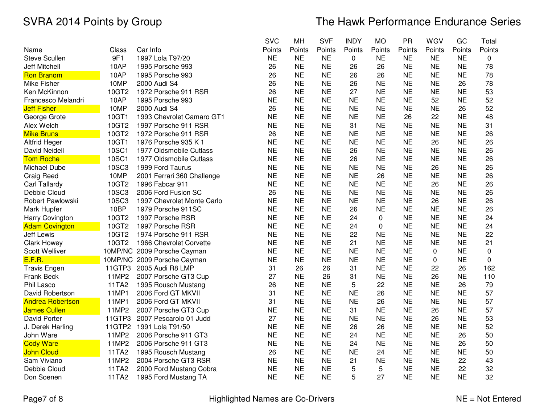|                         |        |                             | <b>SVC</b> | MH        | <b>SVF</b> | <b>INDY</b> | <b>MO</b> | <b>PR</b> | WGV       | GC        | Total  |
|-------------------------|--------|-----------------------------|------------|-----------|------------|-------------|-----------|-----------|-----------|-----------|--------|
| Name                    | Class  | Car Info                    | Points     | Points    | Points     | Points      | Points    | Points    | Points    | Points    | Points |
| <b>Steve Scullen</b>    | 9F1    | 1997 Lola T97/20            | <b>NE</b>  | <b>NE</b> | <b>NE</b>  | 0           | <b>NE</b> | <b>NE</b> | <b>NE</b> | <b>NE</b> | 0      |
| Jeff Mitchell           | 10AP   | 1995 Porsche 993            | 26         | <b>NE</b> | <b>NE</b>  | 26          | 26        | <b>NE</b> | <b>NE</b> | <b>NE</b> | 78     |
| <b>Ron Branom</b>       | 10AP   | 1995 Porsche 993            | 26         | <b>NE</b> | <b>NE</b>  | 26          | 26        | <b>NE</b> | <b>NE</b> | <b>NE</b> | 78     |
| Mike Fisher             | 10MP   | 2000 Audi S4                | 26         | <b>NE</b> | <b>NE</b>  | 26          | <b>NE</b> | <b>NE</b> | <b>NE</b> | 26        | 78     |
| Ken McKinnon            | 10GT2  | 1972 Porsche 911 RSR        | 26         | <b>NE</b> | <b>NE</b>  | 27          | <b>NE</b> | <b>NE</b> | <b>NE</b> | <b>NE</b> | 53     |
| Francesco Melandri      | 10AP   | 1995 Porsche 993            | <b>NE</b>  | <b>NE</b> | <b>NE</b>  | <b>NE</b>   | <b>NE</b> | <b>NE</b> | 52        | <b>NE</b> | 52     |
| <b>Jeff Fisher</b>      | 10MP   | 2000 Audi S4                | 26         | <b>NE</b> | <b>NE</b>  | <b>NE</b>   | <b>NE</b> | <b>NE</b> | <b>NE</b> | 26        | 52     |
| George Grote            | 10GT1  | 1993 Chevrolet Camaro GT1   | <b>NE</b>  | <b>NE</b> | <b>NE</b>  | <b>NE</b>   | <b>NE</b> | 26        | 22        | <b>NE</b> | 48     |
| Alex Welch              | 10GT2  | 1997 Porsche 911 RSR        | <b>NE</b>  | <b>NE</b> | <b>NE</b>  | 31          | <b>NE</b> | <b>NE</b> | <b>NE</b> | <b>NE</b> | 31     |
| <b>Mike Bruns</b>       | 10GT2  | 1972 Porsche 911 RSR        | 26         | <b>NE</b> | <b>NE</b>  | <b>NE</b>   | <b>NE</b> | <b>NE</b> | <b>NE</b> | <b>NE</b> | 26     |
| <b>Altfrid Heger</b>    | 10GT1  | 1976 Porsche 935 K 1        | <b>NE</b>  | <b>NE</b> | <b>NE</b>  | <b>NE</b>   | <b>NE</b> | <b>NE</b> | 26        | <b>NE</b> | 26     |
| <b>David Neidell</b>    | 10SC1  | 1977 Oldsmobile Cutlass     | <b>NE</b>  | <b>NE</b> | <b>NE</b>  | 26          | <b>NE</b> | <b>NE</b> | <b>NE</b> | <b>NE</b> | 26     |
| <b>Tom Roche</b>        | 10SC1  | 1977 Oldsmobile Cutlass     | <b>NE</b>  | <b>NE</b> | <b>NE</b>  | 26          | <b>NE</b> | <b>NE</b> | <b>NE</b> | <b>NE</b> | 26     |
| Michael Dube            | 10SC3  | 1999 Ford Taurus            | <b>NE</b>  | <b>NE</b> | <b>NE</b>  | <b>NE</b>   | <b>NE</b> | <b>NE</b> | 26        | <b>NE</b> | 26     |
| <b>Craig Reed</b>       | 10MP   | 2001 Ferrari 360 Challenge  | <b>NE</b>  | <b>NE</b> | <b>NE</b>  | <b>NE</b>   | 26        | <b>NE</b> | <b>NE</b> | <b>NE</b> | 26     |
| Carl Tallardy           | 10GT2  | 1996 Fabcar 911             | <b>NE</b>  | <b>NE</b> | <b>NE</b>  | <b>NE</b>   | <b>NE</b> | <b>NE</b> | 26        | <b>NE</b> | 26     |
| Debbie Cloud            | 10SC3  | 2006 Ford Fusion SC         | 26         | <b>NE</b> | <b>NE</b>  | <b>NE</b>   | <b>NE</b> | <b>NE</b> | <b>NE</b> | <b>NE</b> | 26     |
| <b>Robert Pawlowski</b> | 10SC3  | 1997 Chevrolet Monte Carlo  | <b>NE</b>  | <b>NE</b> | <b>NE</b>  | <b>NE</b>   | <b>NE</b> | <b>NE</b> | 26        | <b>NE</b> | 26     |
| Mark Hupfer             | 10BP   | 1979 Porsche 911SC          | <b>NE</b>  | <b>NE</b> | <b>NE</b>  | 26          | <b>NE</b> | <b>NE</b> | <b>NE</b> | <b>NE</b> | 26     |
| <b>Harry Covington</b>  | 10GT2  | 1997 Porsche RSR            | <b>NE</b>  | <b>NE</b> | <b>NE</b>  | 24          | 0         | <b>NE</b> | <b>NE</b> | <b>NE</b> | 24     |
| <b>Adam Covington</b>   | 10GT2  | 1997 Porsche RSR            | <b>NE</b>  | <b>NE</b> | <b>NE</b>  | 24          | 0         | <b>NE</b> | <b>NE</b> | <b>NE</b> | 24     |
| Jeff Lewis              | 10GT2  | 1974 Porsche 911 RSR        | <b>NE</b>  | <b>NE</b> | <b>NE</b>  | 22          | <b>NE</b> | <b>NE</b> | <b>NE</b> | <b>NE</b> | 22     |
| <b>Clark Howey</b>      | 10GT2  | 1966 Chevrolet Corvette     | <b>NE</b>  | <b>NE</b> | <b>NE</b>  | 21          | <b>NE</b> | <b>NE</b> | <b>NE</b> | <b>NE</b> | 21     |
| Scott Welliver          |        | 10MP/NC 2009 Porsche Cayman | <b>NE</b>  | <b>NE</b> | <b>NE</b>  | <b>NE</b>   | <b>NE</b> | <b>NE</b> | 0         | <b>NE</b> | 0      |
| E.F.R.                  |        | 10MP/NC 2009 Porsche Cayman | <b>NE</b>  | <b>NE</b> | <b>NE</b>  | <b>NE</b>   | <b>NE</b> | <b>NE</b> | 0         | <b>NE</b> | 0      |
| <b>Travis Engen</b>     | 11GTP3 | 2005 Audi R8 LMP            | 31         | 26        | 26         | 31          | <b>NE</b> | <b>NE</b> | 22        | 26        | 162    |
| Frank Beck              | 11MP2  | 2007 Porsche GT3 Cup        | 27         | <b>NE</b> | 26         | 31          | <b>NE</b> | <b>NE</b> | 26        | <b>NE</b> | 110    |
| Phil Lasco              | 11TA2  | 1995 Rousch Mustang         | 26         | <b>NE</b> | <b>NE</b>  | 5           | 22        | <b>NE</b> | <b>NE</b> | 26        | 79     |
| David Robertson         | 11MP1  | 2006 Ford GT MKVII          | 31         | <b>NE</b> | <b>NE</b>  | <b>NE</b>   | 26        | <b>NE</b> | <b>NE</b> | <b>NE</b> | 57     |
| <b>Andrea Robertson</b> | 11MP1  | 2006 Ford GT MKVII          | 31         | <b>NE</b> | <b>NE</b>  | <b>NE</b>   | 26        | <b>NE</b> | <b>NE</b> | <b>NE</b> | 57     |
| <b>James Cullen</b>     | 11MP2  | 2007 Porsche GT3 Cup        | <b>NE</b>  | <b>NE</b> | <b>NE</b>  | 31          | <b>NE</b> | <b>NE</b> | 26        | <b>NE</b> | 57     |
| David Porter            | 11GTP3 | 2007 Pescarolo 01 Judd      | 27         | <b>NE</b> | <b>NE</b>  | <b>NE</b>   | <b>NE</b> | <b>NE</b> | 26        | <b>NE</b> | 53     |
| J. Derek Harling        | 11GTP2 | 1991 Lola T91/50            | <b>NE</b>  | <b>NE</b> | <b>NE</b>  | 26          | 26        | <b>NE</b> | <b>NE</b> | <b>NE</b> | 52     |
| John Ware               | 11MP2  | 2006 Porsche 911 GT3        | <b>NE</b>  | <b>NE</b> | <b>NE</b>  | 24          | <b>NE</b> | <b>NE</b> | <b>NE</b> | 26        | 50     |
| <b>Cody Ware</b>        | 11MP2  | 2006 Porsche 911 GT3        | <b>NE</b>  | <b>NE</b> | <b>NE</b>  | 24          | <b>NE</b> | <b>NE</b> | <b>NE</b> | 26        | 50     |
| <b>John Cloud</b>       | 11TA2  | 1995 Rousch Mustang         | 26         | <b>NE</b> | <b>NE</b>  | <b>NE</b>   | 24        | <b>NE</b> | <b>NE</b> | <b>NE</b> | 50     |
| Sam Viviano             | 11MP2  | 2004 Porsche GT3 RSR        | <b>NE</b>  | <b>NE</b> | <b>NE</b>  | 21          | <b>NE</b> | <b>NE</b> | <b>NE</b> | 22        | 43     |
| Debbie Cloud            | 11TA2  | 2000 Ford Mustang Cobra     | <b>NE</b>  | <b>NE</b> | <b>NE</b>  | 5           | 5         | <b>NE</b> | <b>NE</b> | 22        | 32     |
| Don Soenen              | 11TA2  | 1995 Ford Mustang TA        | <b>NE</b>  | <b>NE</b> | <b>NE</b>  | 5           | 27        | <b>NE</b> | <b>NE</b> | <b>NE</b> | 32     |